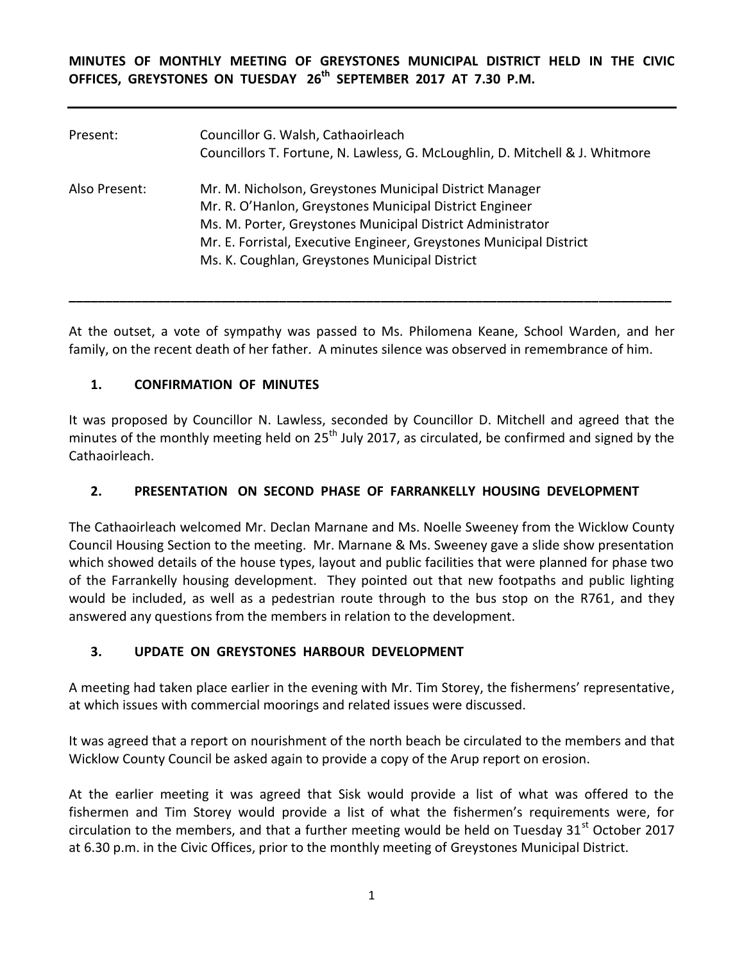**MINUTES OF MONTHLY MEETING OF GREYSTONES MUNICIPAL DISTRICT HELD IN THE CIVIC OFFICES, GREYSTONES ON TUESDAY 26 th SEPTEMBER 2017 AT 7.30 P.M.** 

| Present:      | Councillor G. Walsh, Cathaoirleach<br>Councillors T. Fortune, N. Lawless, G. McLoughlin, D. Mitchell & J. Whitmore                                                                                                                                                                                        |
|---------------|-----------------------------------------------------------------------------------------------------------------------------------------------------------------------------------------------------------------------------------------------------------------------------------------------------------|
| Also Present: | Mr. M. Nicholson, Greystones Municipal District Manager<br>Mr. R. O'Hanlon, Greystones Municipal District Engineer<br>Ms. M. Porter, Greystones Municipal District Administrator<br>Mr. E. Forristal, Executive Engineer, Greystones Municipal District<br>Ms. K. Coughlan, Greystones Municipal District |
|               |                                                                                                                                                                                                                                                                                                           |

At the outset, a vote of sympathy was passed to Ms. Philomena Keane, School Warden, and her family, on the recent death of her father. A minutes silence was observed in remembrance of him.

**\_\_\_\_\_\_\_\_\_\_\_\_\_\_\_\_\_\_\_\_\_\_\_\_\_\_\_\_\_\_\_\_\_\_\_\_\_\_\_\_\_\_\_\_\_\_\_\_\_\_\_\_\_\_\_\_\_\_\_\_\_\_\_\_\_\_\_\_\_\_\_\_\_\_\_\_\_\_\_\_\_\_\_**

### **1. CONFIRMATION OF MINUTES**

It was proposed by Councillor N. Lawless, seconded by Councillor D. Mitchell and agreed that the minutes of the monthly meeting held on 25<sup>th</sup> July 2017, as circulated, be confirmed and signed by the Cathaoirleach.

### **2. PRESENTATION ON SECOND PHASE OF FARRANKELLY HOUSING DEVELOPMENT**

The Cathaoirleach welcomed Mr. Declan Marnane and Ms. Noelle Sweeney from the Wicklow County Council Housing Section to the meeting. Mr. Marnane & Ms. Sweeney gave a slide show presentation which showed details of the house types, layout and public facilities that were planned for phase two of the Farrankelly housing development. They pointed out that new footpaths and public lighting would be included, as well as a pedestrian route through to the bus stop on the R761, and they answered any questions from the members in relation to the development.

### **3. UPDATE ON GREYSTONES HARBOUR DEVELOPMENT**

A meeting had taken place earlier in the evening with Mr. Tim Storey, the fishermens' representative, at which issues with commercial moorings and related issues were discussed.

It was agreed that a report on nourishment of the north beach be circulated to the members and that Wicklow County Council be asked again to provide a copy of the Arup report on erosion.

At the earlier meeting it was agreed that Sisk would provide a list of what was offered to the fishermen and Tim Storey would provide a list of what the fishermen's requirements were, for circulation to the members, and that a further meeting would be held on Tuesday  $31<sup>st</sup>$  October 2017 at 6.30 p.m. in the Civic Offices, prior to the monthly meeting of Greystones Municipal District.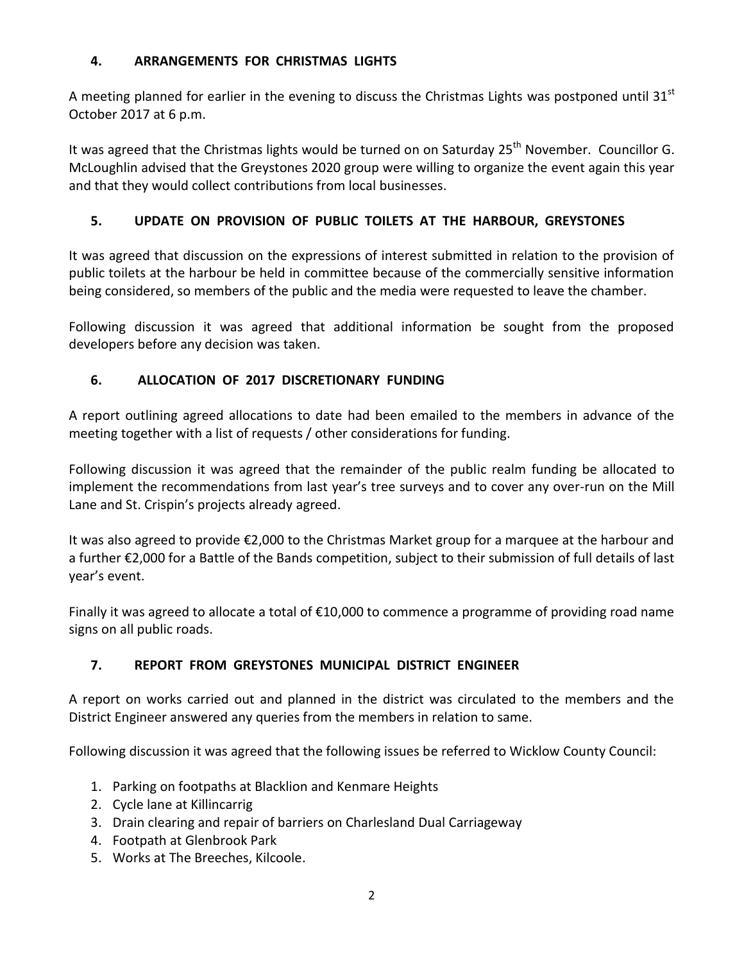### **4. ARRANGEMENTS FOR CHRISTMAS LIGHTS**

A meeting planned for earlier in the evening to discuss the Christmas Lights was postponed until 31 $^{\rm st}$ October 2017 at 6 p.m.

It was agreed that the Christmas lights would be turned on on Saturday  $25<sup>th</sup>$  November. Councillor G. McLoughlin advised that the Greystones 2020 group were willing to organize the event again this year and that they would collect contributions from local businesses.

# **5. UPDATE ON PROVISION OF PUBLIC TOILETS AT THE HARBOUR, GREYSTONES**

It was agreed that discussion on the expressions of interest submitted in relation to the provision of public toilets at the harbour be held in committee because of the commercially sensitive information being considered, so members of the public and the media were requested to leave the chamber.

Following discussion it was agreed that additional information be sought from the proposed developers before any decision was taken.

## **6. ALLOCATION OF 2017 DISCRETIONARY FUNDING**

A report outlining agreed allocations to date had been emailed to the members in advance of the meeting together with a list of requests / other considerations for funding.

Following discussion it was agreed that the remainder of the public realm funding be allocated to implement the recommendations from last year's tree surveys and to cover any over-run on the Mill Lane and St. Crispin's projects already agreed.

It was also agreed to provide €2,000 to the Christmas Market group for a marquee at the harbour and a further €2,000 for a Battle of the Bands competition, subject to their submission of full details of last year's event.

Finally it was agreed to allocate a total of €10,000 to commence a programme of providing road name signs on all public roads.

## **7. REPORT FROM GREYSTONES MUNICIPAL DISTRICT ENGINEER**

A report on works carried out and planned in the district was circulated to the members and the District Engineer answered any queries from the members in relation to same.

Following discussion it was agreed that the following issues be referred to Wicklow County Council:

- 1. Parking on footpaths at Blacklion and Kenmare Heights
- 2. Cycle lane at Killincarrig
- 3. Drain clearing and repair of barriers on Charlesland Dual Carriageway
- 4. Footpath at Glenbrook Park
- 5. Works at The Breeches, Kilcoole.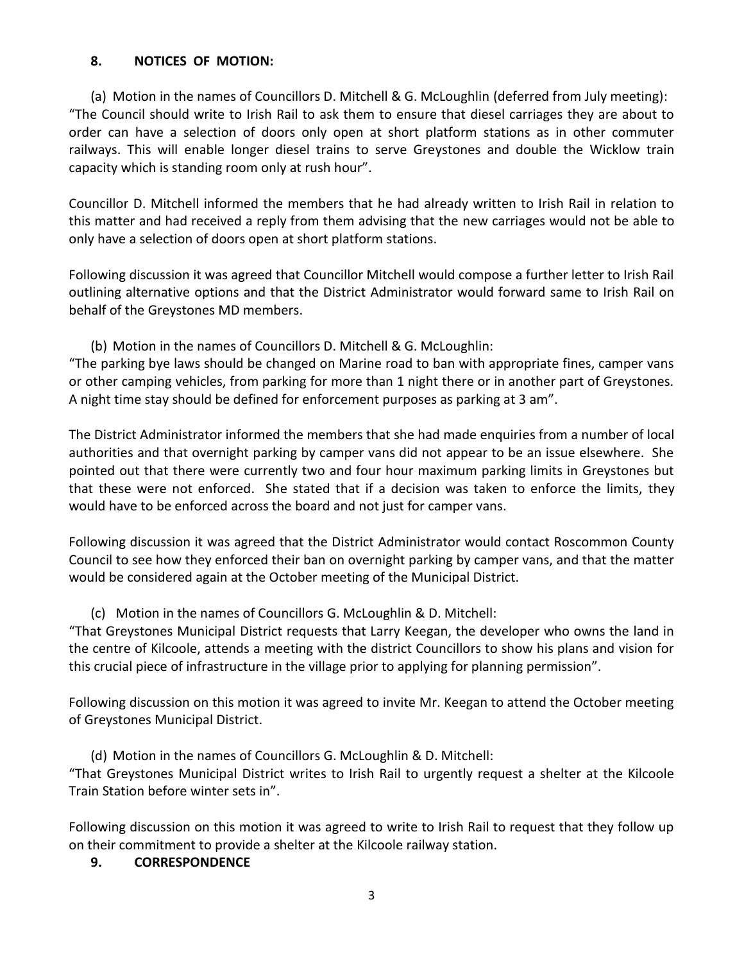#### **8. NOTICES OF MOTION:**

(a) Motion in the names of Councillors D. Mitchell & G. McLoughlin (deferred from July meeting): "The Council should write to Irish Rail to ask them to ensure that diesel carriages they are about to order can have a selection of doors only open at short platform stations as in other commuter railways. This will enable longer diesel trains to serve Greystones and double the Wicklow train capacity which is standing room only at rush hour".

Councillor D. Mitchell informed the members that he had already written to Irish Rail in relation to this matter and had received a reply from them advising that the new carriages would not be able to only have a selection of doors open at short platform stations.

Following discussion it was agreed that Councillor Mitchell would compose a further letter to Irish Rail outlining alternative options and that the District Administrator would forward same to Irish Rail on behalf of the Greystones MD members.

(b) Motion in the names of Councillors D. Mitchell & G. McLoughlin:

"The parking bye laws should be changed on Marine road to ban with appropriate fines, camper vans or other camping vehicles, from parking for more than 1 night there or in another part of Greystones. A night time stay should be defined for enforcement purposes as parking at 3 am".

The District Administrator informed the members that she had made enquiries from a number of local authorities and that overnight parking by camper vans did not appear to be an issue elsewhere. She pointed out that there were currently two and four hour maximum parking limits in Greystones but that these were not enforced. She stated that if a decision was taken to enforce the limits, they would have to be enforced across the board and not just for camper vans.

Following discussion it was agreed that the District Administrator would contact Roscommon County Council to see how they enforced their ban on overnight parking by camper vans, and that the matter would be considered again at the October meeting of the Municipal District.

(c) Motion in the names of Councillors G. McLoughlin & D. Mitchell:

"That Greystones Municipal District requests that Larry Keegan, the developer who owns the land in the centre of Kilcoole, attends a meeting with the district Councillors to show his plans and vision for this crucial piece of infrastructure in the village prior to applying for planning permission".

Following discussion on this motion it was agreed to invite Mr. Keegan to attend the October meeting of Greystones Municipal District.

(d) Motion in the names of Councillors G. McLoughlin & D. Mitchell: "That Greystones Municipal District writes to Irish Rail to urgently request a shelter at the Kilcoole Train Station before winter sets in".

Following discussion on this motion it was agreed to write to Irish Rail to request that they follow up on their commitment to provide a shelter at the Kilcoole railway station.

### **9. CORRESPONDENCE**